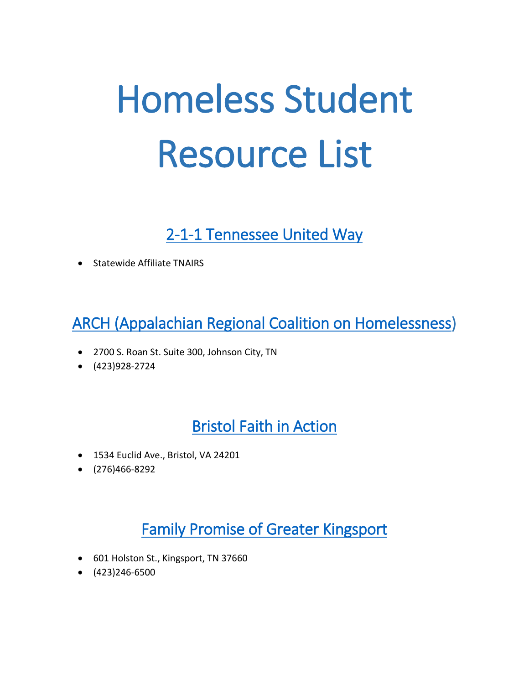# Homeless Student Resource List

# [2-1-1 Tennessee United Way](http://tn211.mycommunitypt.com/)

Statewide Affiliate TNAIRS

# [ARCH \(Appalachian Regional Coalition on Homelessness\)](http://www.appalachianhomeless.org/)

- 2700 S. Roan St. Suite 300, Johnson City, TN
- $(423)928-2724$

# [Bristol Faith in Action](https://www.bristolfia.org/)

- 1534 Euclid Ave., Bristol, VA 24201
- (276)466-8292

# [Family Promise of Greater Kingsport](http://fpgk.org/)

- 601 Holston St., Kingsport, TN 37660
- $\bullet$  (423)246-6500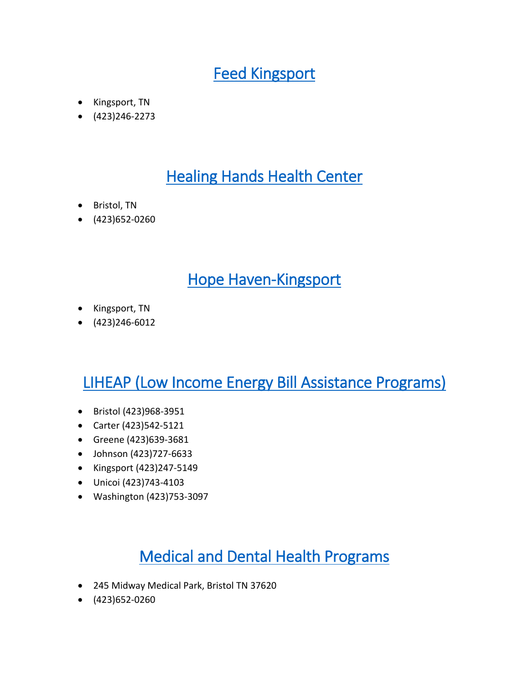# [Feed Kingsport](https://feedkingsport.org/)

- Kingsport, TN
- $\bullet$  (423)246-2273

# **Healing Hands Health Center**

- Bristol, TN
- $(423)652-0260$

## [Hope Haven-Kingsport](http://hopehavenkpt.com/)

- Kingsport, TN
- $\bullet$  (423)246-6012

# [LIHEAP \(Low Income Energy Bill Assistance Programs\)](https://www.acf.hhs.gov/ocs/programs/liheap)

- Bristol (423)968-3951
- Carter (423)542-5121
- Greene (423)639-3681
- Johnson (423)727-6633
- Kingsport (423)247-5149
- Unicoi (423)743-4103
- Washington (423)753-3097

# [Medical and Dental Health Programs](https://healinghandshealthcenter.org/)

- 245 Midway Medical Park, Bristol TN 37620
- $\bullet$  (423) 652-0260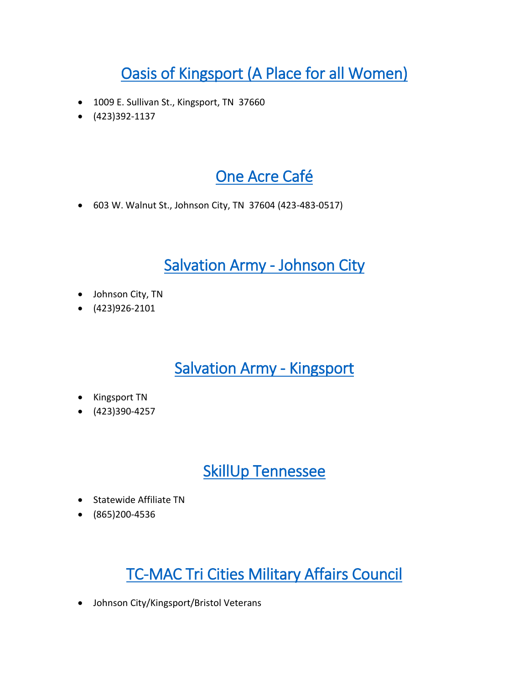# [Oasis of Kingsport \(A Place for all Women\)](https://www.oasisofkingsport.org/)

- 1009 E. Sullivan St., Kingsport, TN 37660
- $\bullet$  (423)392-1137

# [One Acre Café](http://oneacrecafe.org/)

603 W. Walnut St., Johnson City, TN 37604 (423-483-0517)

## [Salvation Army - Johnson City](http://salvationarmytennessee.org/johnson-city/center-of-hope/)

- Johnson City, TN
- (423)926-2101

## [Salvation Army - Kingsport](http://salvationarmytennessee.org/kingsport/social-services-2/)

- Kingsport TN
- $(423)390-4257$

## [SkillUp Tennessee](http://skillup.tennessee.edu/snap-participants/)

- Statewide Affiliate TN
- (865)200-4536

# [TC-MAC Tri Cities Military Affairs Council](http://tc-mac.org/)

Johnson City/Kingsport/Bristol Veterans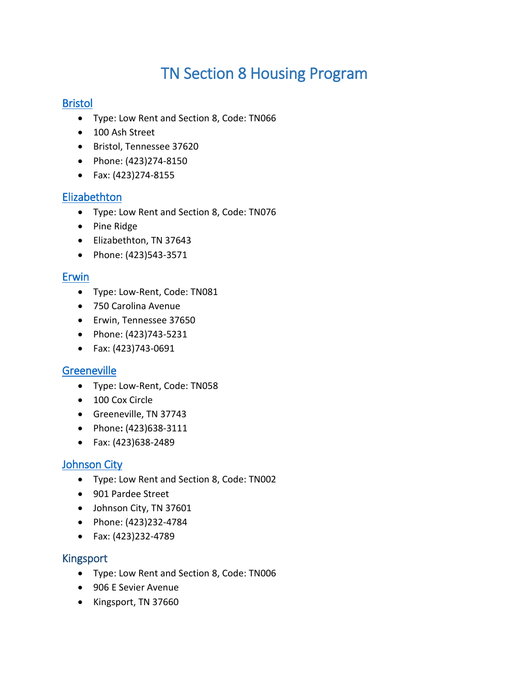# TN Section 8 Housing Program

#### [Bristol](https://www.needhelppayingbills.com/html/sullivan_county_assistance_pro.html)

- Type: Low Rent and Section 8, Code: TN066
- 100 Ash Street
- Bristol, Tennessee 37620
- Phone: (423)274-8150
- Fax: (423)274-8155

#### **Elizabethton**

- Type: Low Rent and Section 8, Code: TN076
- Pine Ridge
- Elizabethton, TN 37643
- Phone: (423)543-3571

#### [Erwin](https://affordablehousingonline.com/housing-search/Tennessee/Erwin)

- Type: Low-Rent, Code: TN081
- 750 Carolina Avenue
- Erwin, Tennessee 37650
- Phone: (423)743-5231
- Fax: (423)743-0691

#### **Greeneville**

- Type: Low-Rent, Code: TN058
- 100 Cox Circle
- Greeneville, TN 37743
- Phone**:** (423)638-3111
- Fax: (423)638-2489

### [Johnson City](http://www.jchousing.org/get-housing/section-8/)

- Type: Low Rent and Section 8, Code: TN002
- 901 Pardee Street
- Johnson City, TN 37601
- Phone: (423)232-4784
- Fax: (423)232-4789

#### [Kingsport](https://governmentassistanceonline.com/section-8-housing/?utm_source=bing&utm_medium=cpc&utm_campaign=Government_Assistance&utm_content=Section%208%20Housing&utm_term=%2Bsection%20%2B8%20%2Bhousing&msclkid=f93283cf6f6614a75d16dee7f4f2c0fa)

- Type: Low Rent and Section 8, Code: TN006
- 906 E Sevier Avenue
- Kingsport, TN 37660